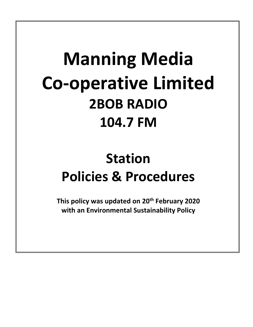# **Manning Media Co-operative Limited 2BOB RADIO 104.7 FM**

## **Station Policies & Procedures**

**This policy was updated on 20th February 2020 with an Environmental Sustainability Policy**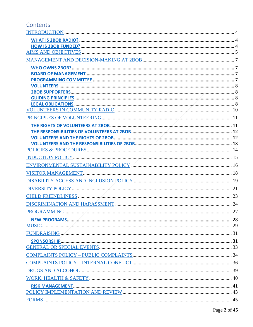## Contents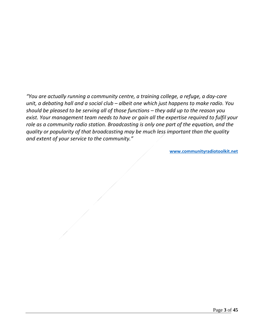*"You are actually running a community centre, a training college, a refuge, a day-care unit, a debating hall and a social club – albeit one which just happens to make radio. You should be pleased to be serving all of those functions – they add up to the reason you exist. Your management team needs to have or gain all the expertise required to fulfil your role as a community radio station. Broadcasting is only one part of the equation, and the quality or popularity of that broadcasting may be much less important than the quality and extent of your service to the community."* 

**[www.communityradiotoolkit.net](http://www.communityradiotoolkit.net/)**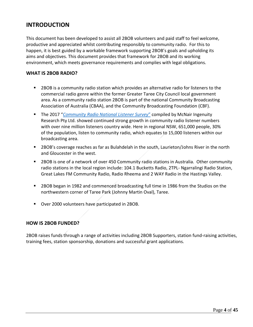## <span id="page-3-0"></span>**INTRODUCTION**

This document has been developed to assist all 2BOB volunteers and paid staff to feel welcome, productive and appreciated whilst contributing responsibly to community radio. For this to happen, it is best guided by a workable framework supporting 2BOB's goals and upholding its aims and objectives. This document provides that framework for 2BOB and its working environment, which meets governance requirements and complies with legal obligations.

#### <span id="page-3-1"></span>**WHAT IS 2BOB RADIO?**

- 2BOB is a community radio station which provides an alternative radio for listeners to the commercial radio genre within the former Greater Taree City Council local government area. As a community radio station 2BOB is part of the national Community Broadcasting Association of Australia (CBAA), and the Community Broadcasting Foundation (CBF).
- The 2017 "*[Community Radio National Listener Survey](https://www.cbaa.org.au/broadcasters/get-data-national-listener-survey-station-census)*" compiled by McNair Ingenuity Research Pty Ltd. showed continued strong growth in community radio listener numbers with over nine million listeners country wide. Here in regional NSW, 651,000 people, 30% of the population, listen to community radio, which equates to 15,000 listeners within our broadcasting area.
- 2BOB's coverage reaches as far as Bulahdelah in the south, Laurieton/Johns River in the north and Gloucester in the west.
- 2BOB is one of a network of over 450 Community radio stations in Australia. Other community radio stations in the local region include: 104.1 Bucketts Radio, 2TPL- Ngarralingi Radio Station, Great Lakes FM Community Radio, Radio Rheema and 2 WAY Radio in the Hastings Valley.
- 2BOB began in 1982 and commenced broadcasting full time in 1986 from the Studios on the northwestern corner of Taree Park (Johnny Martin Oval), Taree.
- Over 2000 volunteers have participated in 2BOB.

#### <span id="page-3-2"></span>**HOW IS 2BOB FUNDED?**

2BOB raises funds through a range of activities including 2BOB Supporters, station fund-raising activities, training fees, station sponsorship, donations and successful grant applications.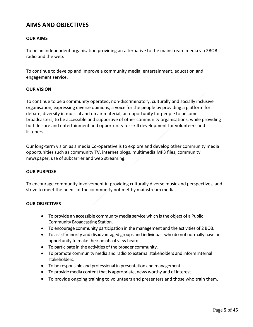## <span id="page-4-0"></span>**AIMS AND OBJECTIVES**

#### **OUR AIMS**

To be an independent organisation providing an alternative to the mainstream media via 2BOB radio and the web.

To continue to develop and improve a community media, entertainment, education and engagement service.

#### **OUR VISION**

To continue to be a community operated, non-discriminatory, culturally and socially inclusive organisation, expressing diverse opinions, a voice for the people by providing a platform for debate, diversity in musical and on air material, an opportunity for people to become broadcasters, to be accessible and supportive of other community organisations, while providing both leisure and entertainment and opportunity for skill development for volunteers and listeners.

Our long-term vision as a media Co-operative is to explore and develop other community media opportunities such as community TV, internet blogs, multimedia MP3 files, community newspaper, use of subcarrier and web streaming.

#### **OUR PURPOSE**

To encourage community involvement in providing culturally diverse music and perspectives, and strive to meet the needs of the community not met by mainstream media.

#### **OUR OBJECTIVES**

- To provide an accessible community media service which is the object of a Public Community Broadcasting Station.
- To encourage community participation in the management and the activities of 2 BOB.
- To assist minority and disadvantaged groups and individuals who do not normally have an opportunity to make their points of view heard.
- To participate in the activities of the broader community.
- To promote community media and radio to external stakeholders and inform internal stakeholders.
- To be responsible and professional in presentation and management.
- To provide media content that is appropriate, news worthy and of interest.
- To provide ongoing training to volunteers and presenters and those who train them.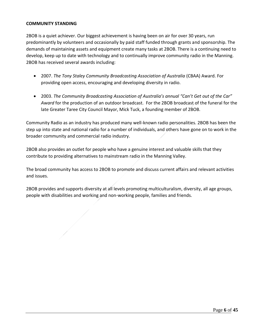#### **COMMUNITY STANDING**

2BOB is a quiet achiever. Our biggest achievement is having been on air for over 30 years, run predominantly by volunteers and occasionally by paid staff funded through grants and sponsorship. The demands of maintaining assets and equipment create many tasks at 2BOB. There is a continuing need to develop, keep up to date with technology and to continually improve community radio in the Manning. 2BOB has received several awards including:

- 2007. *The Tony Staley Community Broadcasting Association of Australia* (CBAA) Award. For providing open access, encouraging and developing diversity in radio.
- 2003. *The Community Broadcasting Association of Australia's annual "Can't Get out of the Car" Award* for the production of an outdoor broadcast. For the 2BOB broadcast of the funeral for the late Greater Taree City Council Mayor, Mick Tuck, a founding member of 2BOB.

Community Radio as an industry has produced many well-known radio personalities. 2BOB has been the step up into state and national radio for a number of individuals, and others have gone on to work in the broader community and commercial radio industry.

2BOB also provides an outlet for people who have a genuine interest and valuable skills that they contribute to providing alternatives to mainstream radio in the Manning Valley.

The broad community has access to 2BOB to promote and discuss current affairs and relevant activities and issues.

2BOB provides and supports diversity at all levels promoting multiculturalism, diversity, all age groups, people with disabilities and working and non-working people, families and friends.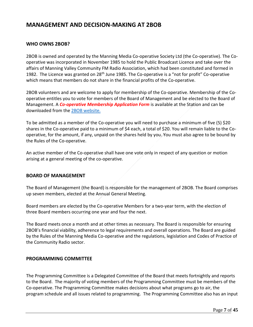## <span id="page-6-0"></span>**MANAGEMENT AND DECISION-MAKING AT 2BOB**

#### <span id="page-6-1"></span>**WHO OWNS 2BOB?**

2BOB is owned and operated by the Manning Media Co-operative Society Ltd (the Co-operative). The Cooperative was incorporated in November 1985 to hold the Public Broadcast Licence and take over the affairs of Manning Valley Community FM Radio Association, which had been constituted and formed in 1982. The Licence was granted on 28<sup>th</sup> June 1985. The Co-operative is a "not for profit" Co-operative which means that members do not share in the financial profits of the Co-operative.

2BOB volunteers and are welcome to apply for membership of the Co-operative. Membership of the Cooperative entitles you to vote for members of the Board of Management and be elected to the Board of Management. A *Co-operative Membership Application Form* is available at the Station and can be downloaded from the [2BOB website.](http://www.2bobradio.org.au/cooperative-member.html)

To be admitted as a member of the Co-operative you will need to purchase a minimum of five (5) \$20 shares in the Co-operative paid to a minimum of \$4 each, a total of \$20. You will remain liable to the Cooperative, for the amount, if any, unpaid on the shares held by you. You must also agree to be bound by the Rules of the Co-operative.

An active member of the Co-operative shall have one vote only in respect of any question or motion arising at a general meeting of the co-operative.

#### <span id="page-6-2"></span>**BOARD OF MANAGEMENT**

The Board of Management (the Board) is responsible for the management of 2BOB. The Board comprises up seven members, elected at the Annual General Meeting.

Board members are elected by the Co-operative Members for a two-year term, with the election of three Board members occurring one year and four the next.

The Board meets once a month and at other times as necessary. The Board is responsible for ensuring 2BOB's financial viability, adherence to legal requirements and overall operations. The Board are guided by the Rules of the Manning Media Co-operative and the regulations, legislation and Codes of Practice of the Community Radio sector.

#### <span id="page-6-3"></span>**PROGRAMMING COMMITTEE**

The Programming Committee is a Delegated Committee of the Board that meets fortnightly and reports to the Board. The majority of voting members of the Programming Committee must be members of the Co-operative. The Programming Committee makes decisions about what programs go to air, the program schedule and all issues related to programming. The Programming Committee also has an input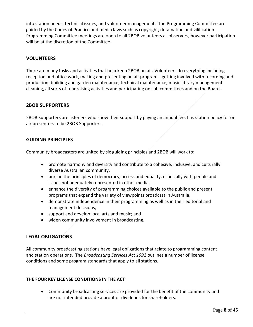into station needs, technical issues, and volunteer management. The Programming Committee are guided by the Codes of Practice and media laws such as copyright, defamation and vilification. Programming Committee meetings are open to all 2BOB volunteers as observers, however participation will be at the discretion of the Committee.

#### <span id="page-7-0"></span>**VOLUNTEERS**

There are many tasks and activities that help keep 2BOB on air. Volunteers do everything including reception and office work, making and presenting on air programs, getting involved with recording and production, building and garden maintenance, technical maintenance, music library management, cleaning, all sorts of fundraising activities and participating on sub committees and on the Board.

#### <span id="page-7-1"></span>**2BOB SUPPORTERS**

2BOB Supporters are listeners who show their support by paying an annual fee. It is station policy for on air presenters to be 2BOB Supporters.

#### <span id="page-7-2"></span>**GUIDING PRINCIPLES**

Community broadcasters are united by six guiding principles and 2BOB will work to:

- promote harmony and diversity and contribute to a cohesive, inclusive, and culturally diverse Australian community,
- pursue the principles of democracy, access and equality, especially with people and issues not adequately represented in other media,
- enhance the diversity of programming choices available to the public and present programs that expand the variety of viewpoints broadcast in Australia,
- demonstrate independence in their programming as well as in their editorial and management decisions,
- support and develop local arts and music; and
- widen community involvement in broadcasting.

#### <span id="page-7-3"></span>**LEGAL OBLIGATIONS**

All community broadcasting stations have legal obligations that relate to programming content and station operations. The *Broadcasting Services Act 1992* outlines a number of license conditions and some program standards that apply to all stations.

#### **THE FOUR KEY LICENSE CONDITIONS IN THE ACT**

• Community broadcasting services are provided for the benefit of the community and are not intended provide a profit or dividends for shareholders.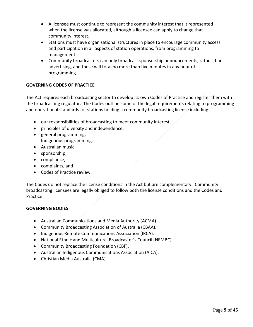- A licensee must continue to represent the community interest that it represented when the license was allocated, although a licensee can apply to change that community interest.
- Stations must have organisational structures in place to encourage community access and participation in all aspects of station operations, from programming to management.
- Community broadcasters can only broadcast sponsorship announcements, rather than advertising, and these will total no more than five minutes in any hour of programming.

#### **GOVERNING CODES OF PRACTICE**

The Act requires each broadcasting sector to develop its own Codes of Practice and register them with the broadcasting regulator. The Codes outline some of the legal requirements relating to programming and operational standards for stations holding a community broadcasting license including:

- our responsibilities of broadcasting to meet community interest,
- principles of diversity and independence,
- general programming, Indigenous programming,
- Australian music.
- sponsorship,
- compliance,
- complaints, and
- Codes of Practice review.

The Codes do not replace the license conditions in the Act but are complementary. Community broadcasting licensees are legally obliged to follow both the license conditions and the Codes and Practice.

#### **GOVERNING BODIES**

- Australian Communications and Media Authority (ACMA).
- Community Broadcasting Association of Australia (CBAA).
- Indigenous Remote Communications Association (IRCA).
- National Ethnic and Multicultural Broadcaster's Council (NEMBC).
- Community Broadcasting Foundation (CBF).
- Australian Indigenous Communications Association (AICA).
- Christian Media Australia (CMA).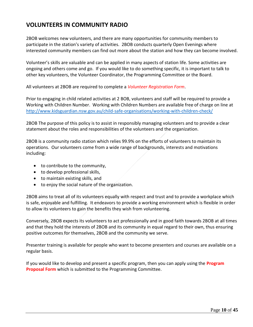## <span id="page-9-0"></span>**VOLUNTEERS IN COMMUNITY RADIO**

2BOB welcomes new volunteers, and there are many opportunities for community members to participate in the station's variety of activities. 2BOB conducts quarterly Open Evenings where interested community members can find out more about the station and how they can become involved.

Volunteer's skills are valuable and can be applied in many aspects of station life. Some activities are ongoing and others come and go. If you would like to do something specific, it is important to talk to other key volunteers, the Volunteer Coordinator, the Programming Committee or the Board.

All volunteers at 2BOB are required to complete a *Volunteer Registration Form*.

Prior to engaging in child related activities at 2 BOB, volunteers and staff will be required to provide a Working with Children Number. Working with Children Numbers are available free of charge on line at <http://www.kidsguardian.nsw.gov.au/child-safe-organisations/working-with-children-check/>

2BOB The purpose of this policy is to assist in responsibly managing volunteers and to provide a clear statement about the roles and responsibilities of the volunteers and the organization.

2BOB is a community radio station which relies 99.9% on the efforts of volunteers to maintain its operations. Our volunteers come from a wide range of backgrounds, interests and motivations including:

- to contribute to the community,
- to develop professional skills,
- to maintain existing skills, and
- to enjoy the social nature of the organization.

2BOB aims to treat all of its volunteers equally with respect and trust and to provide a workplace which is safe, enjoyable and fulfilling. It endeavors to provide a working environment which is flexible in order to allow its volunteers to gain the benefits they wish from volunteering.

Conversely, 2BOB expects its volunteers to act professionally and in good faith towards 2BOB at all times and that they hold the interests of 2BOB and its community in equal regard to their own, thus ensuring positive outcomes for themselves, 2BOB and the community we serve.

Presenter training is available for people who want to become presenters and courses are available on a regular basis.

If you would like to develop and present a specific program, then you can apply using the **Program Proposal Form** which is submitted to the Programming Committee.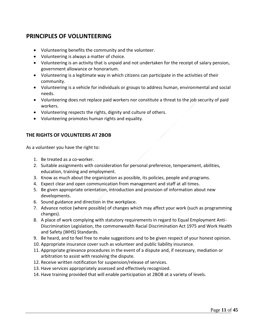## <span id="page-10-0"></span>**PRINCIPLES OF VOLUNTEERING**

- Volunteering benefits the community and the volunteer.
- Volunteering is always a matter of choice.
- Volunteering is an activity that is unpaid and not undertaken for the receipt of salary pension, government allowance or honorarium.
- Volunteering is a legitimate way in which citizens can participate in the activities of their community.
- Volunteering is a vehicle for individuals or groups to address human, environmental and social needs.
- Volunteering does not replace paid workers nor constitute a threat to the job security of paid workers.
- Volunteering respects the rights, dignity and culture of others.
- Volunteering promotes human rights and equality.

#### <span id="page-10-1"></span>**THE RIGHTS OF VOLUNTEERS AT 2BOB**

As a volunteer you have the right to:

- 1. Be treated as a co-worker.
- 2. Suitable assignments with consideration for personal preference, temperament, abilities, education, training and employment.
- 3. Know as much about the organization as possible, its policies, people and programs.
- 4. Expect clear and open communication from management and staff at all times.
- 5. Be given appropriate orientation, introduction and provision of information about new developments.
- 6. Sound guidance and direction in the workplace.
- 7. Advance notice (where possible) of changes which may affect your work (such as programming changes).
- 8. A place of work complying with statutory requirements in regard to Equal Employment Anti-Discrimination Legislation, the commonwealth Racial Discrimination Act 1975 and Work Health and Safety (WHS) Standards.
- 9. Be heard, and to feel free to make suggestions and to be given respect of your honest opinion.
- 10. Appropriate insurance cover such as volunteer and public liability insurance.
- 11. Appropriate grievance procedures in the event of a dispute and, if necessary, mediation or arbitration to assist with resolving the dispute.
- 12. Receive written notification for suspension/release of services.
- 13. Have services appropriately assessed and effectively recognized.
- 14. Have training provided that will enable participation at 2BOB at a variety of levels.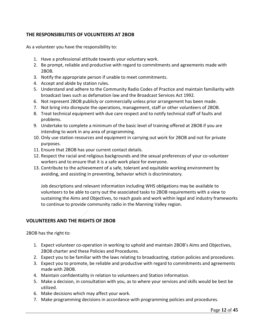#### <span id="page-11-0"></span>**THE RESPONSIBILITIES OF VOLUNTEERS AT 2BOB**

As a volunteer you have the responsibility to:

- 1. Have a professional attitude towards your voluntary work.
- 2. Be prompt, reliable and productive with regard to commitments and agreements made with 2BOB.
- 3. Notify the appropriate person if unable to meet commitments.
- 4. Accept and abide by station rules.
- 5. Understand and adhere to the Community Radio Codes of Practice and maintain familiarity with broadcast laws such as defamation law and the Broadcast Services Act 1992.
- 6. Not represent 2BOB publicly or commercially unless prior arrangement has been made.
- 7. Not bring into disrepute the operations, management, staff or other volunteers of 2BOB.
- 8. Treat technical equipment with due care respect and to notify technical staff of faults and problems.
- 9. Undertake to complete a minimum of the basic level of training offered at 2BOB if you are intending to work in any area of programming.
- 10. Only use station resources and equipment in carrying out work for 2BOB and not for private purposes.
- 11. Ensure that 2BOB has your current contact details.
- 12. Respect the racial and religious backgrounds and the sexual preferences of your co-volunteer workers and to ensure that it is a safe work place for everyone.
- 13. Contribute to the achievement of a safe, tolerant and equitable working environment by avoiding, and assisting in preventing, behavior which is discriminatory.

Job descriptions and relevant information including WHS obligations may be available to volunteers to be able to carry out the associated tasks to 2BOB requirements with a view to sustaining the Aims and Objectives, to reach goals and work within legal and industry frameworks to continue to provide community radio in the Manning Valley region.

#### <span id="page-11-1"></span>**VOLUNTEERS AND THE RIGHTS OF 2BOB**

2BOB has the right to:

- 1. Expect volunteer co-operation in working to uphold and maintain 2BOB's Aims and Objectives, 2BOB charter and these Policies and Procedures.
- 2. Expect you to be familiar with the laws relating to broadcasting, station policies and procedures.
- 3. Expect you to promote, be reliable and productive with regard to commitments and agreements made with 2BOB.
- 4. Maintain confidentiality in relation to volunteers and Station information.
- 5. Make a decision, in consultation with you, as to where your services and skills would be best be utilized.
- 6. Make decisions which may affect your work.
- 7. Make programming decisions in accordance with programming policies and procedures.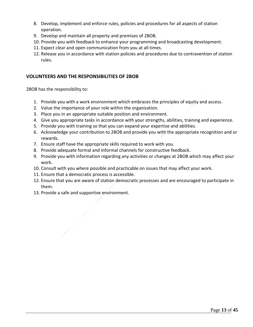- 8. Develop, implement and enforce rules, policies and procedures for all aspects of station operation.
- 9. Develop and maintain all property and premises of 2BOB.
- 10. Provide you with feedback to enhance your programming and broadcasting development.
- 11. Expect clear and open communication from you at all times.
- 12. Release you in accordance with station policies and procedures due to contravention of station rules.

#### <span id="page-12-0"></span>**VOLUNTEERS AND THE RESPONSIBILITIES OF 2BOB**

2BOB has the responsibility to:

- 1. Provide you with a work environment which embraces the principles of equity and access.
- 2. Value the importance of your role within the organization.
- 3. Place you in an appropriate suitable position and environment.
- 4. Give you appropriate tasks in accordance with your strengths, abilities, training and experience.
- 5. Provide you with training so that you can expand your expertise and abilities.
- 6. Acknowledge your contribution to 2BOB and provide you with the appropriate recognition and or rewards.
- 7. Ensure staff have the appropriate skills required to work with you.
- 8. Provide adequate formal and informal channels for constructive feedback.
- 9. Provide you with information regarding any activities or changes at 2BOB which may affect your work.
- 10. Consult with you where possible and practicable on issues that may affect your work.
- 11. Ensure that a democratic process is accessible.
- 12. Ensure that you are aware of station democratic processes and are encouraged to participate in them.
- 13. Provide a safe and supportive environment.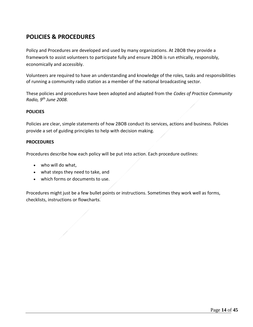## <span id="page-13-0"></span>**POLICIES & PROCEDURES**

Policy and Procedures are developed and used by many organizations. At 2BOB they provide a framework to assist volunteers to participate fully and ensure 2BOB is run ethically, responsibly, economically and accessibly.

Volunteers are required to have an understanding and knowledge of the roles, tasks and responsibilities of running a community radio station as a member of the national broadcasting sector.

These policies and procedures have been adopted and adapted from the *Codes of Practice Community Radio, 9th June 2008.*

#### **POLICIES**

Policies are clear, simple statements of how 2BOB conduct its services, actions and business. Policies provide a set of guiding principles to help with decision making.

#### **PROCEDURES**

Procedures describe how each policy will be put into action. Each procedure outlines:

- who will do what,
- what steps they need to take, and
- which forms or documents to use.

Procedures might just be a few bullet points or instructions. Sometimes they work well as forms, checklists, instructions or flowcharts.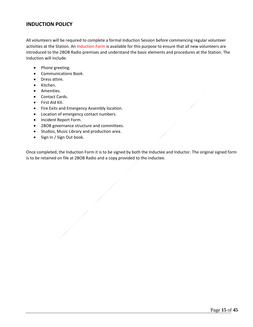#### <span id="page-14-0"></span>**INDUCTION POLICY**

All volunteers will be required to complete a formal Induction Session before commencing regular volunteer activities at the Station. An Induction Form is available for this purpose to ensure that all new volunteers are introduced to the 2BOB Radio premises and understand the basic elements and procedures at the Station. The Induction will include:

- Phone greeting.
- Communications Book.
- Dress attire.
- Kitchen.
- Amenities.
- Contact Cards.
- First Aid Kit.
- Fire Exits and Emergency Assembly location.
- Location of emergency contact numbers.
- Incident Report Form.
- 2BOB governance structure and committees.
- Studios, Music Library and production area.
- Sign In / Sign Out book.

Once completed, the Induction Form it is to be signed by both the Inductee and Inductor. The original signed form is to be retained on file at 2BOB Radio and a copy provided to the inductee.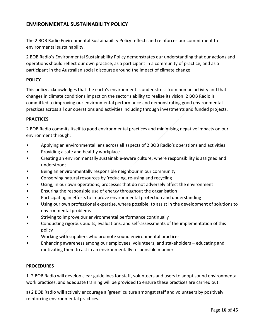## <span id="page-15-0"></span>**ENVIRONMENTAL SUSTAINABILITY POLICY**

The 2 BOB Radio Environmental Sustainability Policy reflects and reinforces our commitment to environmental sustainability.

2 BOB Radio's Environmental Sustainability Policy demonstrates our understanding that our actions and operations should reflect our own practice, as a participant in a community of practice, and as a participant in the Australian social discourse around the impact of climate change.

#### **POLICY**

This policy acknowledges that the earth's environment is under stress from human activity and that changes in climate conditions impact on the sector's ability to realise its vision. 2 BOB Radio is committed to improving our environmental performance and demonstrating good environmental practices across all our operations and activities including through investments and funded projects.

#### **PRACTICES**

2 BOB Radio commits itself to good environmental practices and minimising negative impacts on our environment through:

- Applying an environmental lens across all aspects of 2 BOB Radio's operations and activities
- Providing a safe and healthy workplace
- Creating an environmentally sustainable-aware culture, where responsibility is assigned and understood;
- Being an environmentally responsible neighbour in our community
- Conserving natural resources by 'reducing, re-using and recycling
- Using, in our own operations, processes that do not adversely affect the environment
- Ensuring the responsible use of energy throughout the organisation
- Participating in efforts to improve environmental protection and understanding
- Using our own professional expertise, where possible, to assist in the development of solutions to environmental problems
- Striving to improve our environmental performance continually
- Conducting rigorous audits, evaluations, and self-assessments of the implementation of this policy
- Working with suppliers who promote sound environmental practices
- Enhancing awareness among our employees, volunteers, and stakeholders educating and motivating them to act in an environmentally responsible manner.

#### **PROCEDURES**

1. 2 BOB Radio will develop clear guidelines for staff, volunteers and users to adopt sound environmental work practices, and adequate training will be provided to ensure these practices are carried out.

a) 2 BOB Radio will actively encourage a 'green' culture amongst staff and volunteers by positively reinforcing environmental practices.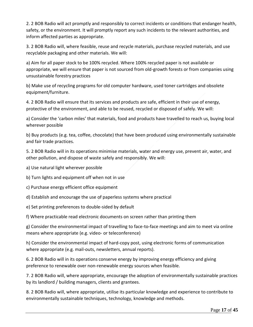2. 2 BOB Radio will act promptly and responsibly to correct incidents or conditions that endanger health, safety, or the environment. It will promptly report any such incidents to the relevant authorities, and inform affected parties as appropriate.

3. 2 BOB Radio will, where feasible, reuse and recycle materials, purchase recycled materials, and use recyclable packaging and other materials. We will:

a) Aim for all paper stock to be 100% recycled. Where 100% recycled paper is not available or appropriate, we will ensure that paper is not sourced from old-growth forests or from companies using unsustainable forestry practices

b) Make use of recycling programs for old computer hardware, used toner cartridges and obsolete equipment/furniture.

4. 2 BOB Radio will ensure that its services and products are safe, efficient in their use of energy, protective of the environment, and able to be reused, recycled or disposed of safely. We will:

a) Consider the 'carbon miles' that materials, food and products have travelled to reach us, buying local wherever possible

b) Buy products (e.g. tea, coffee, chocolate) that have been produced using environmentally sustainable and fair trade practices.

5. 2 BOB Radio will in its operations minimise materials, water and energy use, prevent air, water, and other pollution, and dispose of waste safely and responsibly. We will:

a) Use natural light wherever possible

b) Turn lights and equipment off when not in use

c) Purchase energy efficient office equipment

d) Establish and encourage the use of paperless systems where practical

e) Set printing preferences to double-sided by default

f) Where practicable read electronic documents on screen rather than printing them

g) Consider the environmental impact of travelling to face-to-face meetings and aim to meet via online means where appropriate (e.g. video- or teleconference)

h) Consider the environmental impact of hard-copy post, using electronic forms of communication where appropriate (e.g. mail-outs, newsletters, annual reports).

6. 2 BOB Radio will in its operations conserve energy by improving energy efficiency and giving preference to renewable over non-renewable energy sources when feasible.

7. 2 BOB Radio will, where appropriate, encourage the adoption of environmentally sustainable practices by its landlord / building managers, clients and grantees.

8. 2 BOB Radio will, where appropriate, utilise its particular knowledge and experience to contribute to environmentally sustainable techniques, technology, knowledge and methods.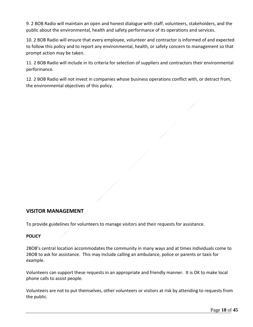9. 2 BOB Radio will maintain an open and honest dialogue with staff, volunteers, stakeholders, and the public about the environmental, health and safety performance of its operations and services.

10. 2 BOB Radio will ensure that every employee, volunteer and contractor is informed of and expected to follow this policy and to report any environmental, health, or safety concern to management so that prompt action may be taken.

11. 2 BOB Radio will include in its criteria for selection of suppliers and contractors their environmental performance.

12. 2 BOB Radio will not invest in companies whose business operations conflict with, or detract from, the environmental objectives of this policy.

#### <span id="page-17-0"></span>**VISITOR MANAGEMENT**

To provide guidelines for volunteers to manage visitors and their requests for assistance.

#### **POLICY**

2BOB's central location accommodates the community in many ways and at times individuals come to 2BOB to ask for assistance. This may include calling an ambulance, police or parents or taxis for example.

Volunteers can support these requests in an appropriate and friendly manner. It is OK to make local phone calls to assist people.

Volunteers are not to put themselves, other volunteers or visitors at risk by attending to requests from the public.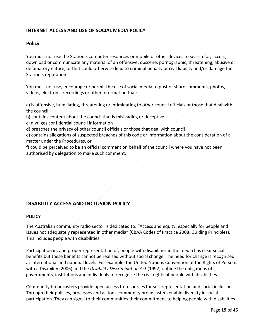#### **INTERNET ACCESS AND USE OF SOCIAL MEDIA POLICY**

#### **Policy**

You must not use the Station's computer resources or mobile or other devices to search for, access, download or communicate any material of an offensive, obscene, pornographic, threatening, abusive or defamatory nature, or that could otherwise lead to criminal penalty or civil liability and/or damage the Station's reputation.

You must not use, encourage or permit the use of social media to post or share comments, photos, videos, electronic recordings or other information that:

a) is offensive, humiliating, threatening or intimidating to other council officials or those that deal with the council

b) contains content about the council that is misleading or deceptive

c) divulges confidential council information

d) breaches the privacy of other council officials or those that deal with council

e) contains allegations of suspected breaches of this code or information about the consideration of a matter under the Procedures, or

f) could be perceived to be an official comment on behalf of the council where you have not been authorised by delegation to make such comment.

## <span id="page-18-0"></span>**DISABILITY ACCESS AND INCLUSION POLICY**

#### **POLICY**

The Australian community radio sector is dedicated to: "Access and equity, especially for people and issues not adequately represented in other media" (CBAA Codes of Practice 2008, Guiding Principles). This includes people with disabilities.

Participation in, and proper representation of, people with disabilities in the media has clear social benefits but these benefits cannot be realised without social change. The need for change is recognised at international and national levels. For example, the United Nations Convention of the Rights of Persons with a Disability (2006) and the *Disability Discrimination Act* (1992) outline the obligations of governments, institutions and individuals to recognise the civil rights of people with disabilities.

Community broadcasters provide open access to resources for self-representation and social inclusion. Through their policies, processes and actions community broadcasters enable diversity in social participation. They can signal to their communities their commitment to helping people with disabilities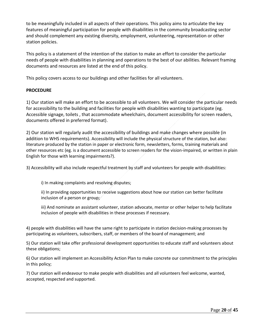to be meaningfully included in all aspects of their operations. This policy aims to articulate the key features of meaningful participation for people with disabilities in the community broadcasting sector and should complement any existing diversity, employment, volunteering, representation or other station policies.

This policy is a statement of the intention of the station to make an effort to consider the particular needs of people with disabilities in planning and operations to the best of our abilities. Relevant framing documents and resources are listed at the end of this policy.

This policy covers access to our buildings and other facilities for all volunteers.

#### **PROCEDURE**

1) Our station will make an effort to be accessible to all volunteers. We will consider the particular needs for accessibility to the building and facilities for people with disabilities wanting to participate (eg. Accessible signage, toilets , that accommodate wheelchairs, document accessibility for screen readers, documents offered in preferred format).

2) Our station will regularly audit the accessibility of buildings and make changes where possible (in addition to WHS requirements). Accessibility will include the physical structure of the station, but also: literature produced by the station in paper or electronic form, newsletters, forms, training materials and other resources etc (eg. is a document accessible to screen readers for the vision-impaired, or written in plain English for those with learning impairments?).

3) Accessibility will also include respectful treatment by staff and volunteers for people with disabilities:

i) In making complaints and resolving disputes;

ii) In providing opportunities to receive suggestions about how our station can better facilitate inclusion of a person or group;

iii) And nominate an assistant volunteer, station advocate, mentor or other helper to help facilitate inclusion of people with disabilities in these processes if necessary.

4) people with disabilities will have the same right to participate in station decision-making processes by participating as volunteers, subscribers, staff, or members of the board of management; and

5) Our station will take offer professional development opportunities to educate staff and volunteers about these obligations;

6) Our station will implement an Accessibility Action Plan to make concrete our commitment to the principles in this policy;

7) Our station will endeavour to make people with disabilities and all volunteers feel welcome, wanted, accepted, respected and supported.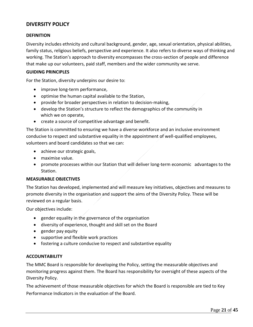#### <span id="page-20-0"></span>**DIVERSITY POLICY**

#### **DEFINITION**

Diversity includes ethnicity and cultural background, gender, age, sexual orientation, physical abilities, family status, religious beliefs, perspective and experience. It also refers to diverse ways of thinking and working. The Station's approach to diversity encompasses the cross-section of people and difference that make up our volunteers, paid staff, members and the wider community we serve.

#### **GUIDING PRINCIPLES**

For the Station, diversity underpins our desire to:

- improve long-term performance,
- optimise the human capital available to the Station,
- provide for broader perspectives in relation to decision-making,
- develop the Station's structure to reflect the demographics of the community in which we on operate,
- create a source of competitive advantage and benefit.

The Station is committed to ensuring we have a diverse workforce and an inclusive environment conducive to respect and substantive equality in the appointment of well-qualified employees, volunteers and board candidates so that we can:

- achieve our strategic goals,
- maximise value.
- promote processes within our Station that will deliver long-term economic advantages to the Station.

#### **MEASURABLE OBJECTIVES**

The Station has developed, implemented and will measure key initiatives, objectives and measures to promote diversity in the organisation and support the aims of the Diversity Policy. These will be reviewed on a regular basis.

Our objectives include:

- gender equality in the governance of the organisation
- diversity of experience, thought and skill set on the Board
- gender pay equity
- supportive and flexible work practices
- fostering a culture conducive to respect and substantive equality

#### **ACCOUNTABILITY**

The MMC Board is responsible for developing the Policy, setting the measurable objectives and monitoring progress against them. The Board has responsibility for oversight of these aspects of the Diversity Policy.

The achievement of those measurable objectives for which the Board is responsible are tied to Key Performance Indicators in the evaluation of the Board.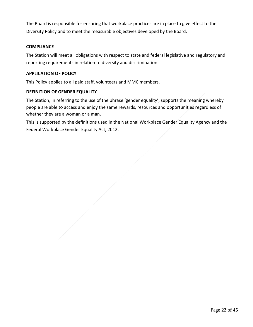The Board is responsible for ensuring that workplace practices are in place to give effect to the Diversity Policy and to meet the measurable objectives developed by the Board.

#### **COMPLIANCE**

The Station will meet all obligations with respect to state and federal legislative and regulatory and reporting requirements in relation to diversity and discrimination.

#### **APPLICATION OF POLICY**

This Policy applies to all paid staff, volunteers and MMC members.

#### **DEFINITION OF GENDER EQUALITY**

The Station, in referring to the use of the phrase 'gender equality', supports the meaning whereby people are able to access and enjoy the same rewards, resources and opportunities regardless of whether they are a woman or a man.

This is supported by the definitions used in the National Workplace Gender Equality Agency and the Federal Workplace Gender Equality Act, 2012.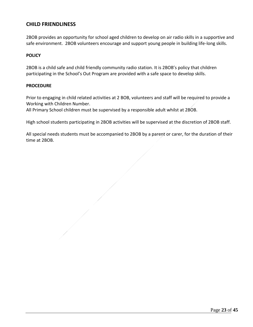#### <span id="page-22-0"></span>**CHILD FRIENDLINESS**

2BOB provides an opportunity for school aged children to develop on air radio skills in a supportive and safe environment. 2BOB volunteers encourage and support young people in building life-long skills.

#### **POLICY**

2BOB is a child safe and child friendly community radio station. It is 2BOB's policy that children participating in the School's Out Program are provided with a safe space to develop skills.

#### **PROCEDURE**

Prior to engaging in child related activities at 2 BOB, volunteers and staff will be required to provide a Working with Children Number.

All Primary School children must be supervised by a responsible adult whilst at 2BOB.

High school students participating in 2BOB activities will be supervised at the discretion of 2BOB staff.

All special needs students must be accompanied to 2BOB by a parent or carer, for the duration of their time at 2BOB.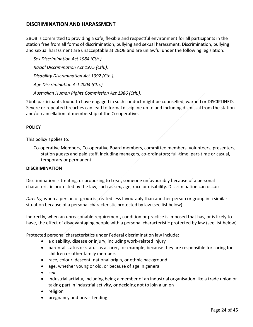#### <span id="page-23-0"></span>**DISCRIMINATION AND HARASSMENT**

2BOB is committed to providing a safe, flexible and respectful environment for all participants in the station free from all forms of discrimination, bullying and sexual harassment. Discrimination, bullying and sexual harassment are unacceptable at 2BOB and are unlawful under the following legislation:

*Sex Discrimination Act 1984 (Cth.). Racial Discrimination Act 1975 (Cth.). Disability Discrimination Act 1992 (Cth.). Age Discrimination Act 2004 (Cth.). Australian Human Rights Commission Act 1986 (Cth.).* 

2bob participants found to have engaged in such conduct might be counselled, warned or DISCIPLINED. Severe or repeated breaches can lead to formal discipline up to and including dismissal from the station and/or cancellation of membership of the Co-operative.

#### **POLICY**

This policy applies to:

Co-operative Members, Co-operative Board members, committee members, volunteers, presenters, station guests and paid staff, including managers, co-ordinators; full-time, part-time or casual, temporary or permanent.

#### **DISCRIMINATION**

Discrimination is treating, or proposing to treat, someone unfavourably because of a personal characteristic protected by the law, such as sex, age, race or disability. Discrimination can occur:

*Directly,* when a person or group is treated less favourably than another person or group in a similar situation because of a personal characteristic protected by law (see list below).

Indirectly, when an unreasonable requirement, condition or practice is imposed that has, or is likely to have, the effect of disadvantaging people with a personal characteristic protected by law (see list below).

Protected personal characteristics under Federal discrimination law include:

- a disability, disease or injury, including work-related injury
- parental status or status as a carer, for example, because they are responsible for caring for children or other family members
- race, colour, descent, national origin, or ethnic background
- age, whether young or old, or because of age in general
- sex
- industrial activity, including being a member of an industrial organisation like a trade union or taking part i[n industrial activity,](http://www.humanrightscommission.vic.gov.au/index.php?option=com_k2&view=item&layout=item&id=730&Itemid=546) or deciding not to join a union
- religion
- [pregnancy and breastfeeding](http://www.humanrightscommission.vic.gov.au/index.php?option=com_k2&view=item&layout=item&id=id=1097&Itemid=468)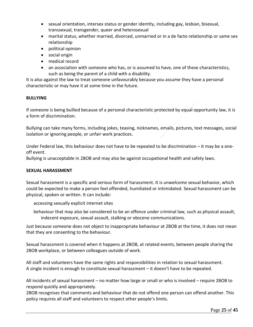- sexual orientation, intersex status or gender identity, including gay, lesbian, bisexual, transsexual, transgender, queer and heterosexual
- marital status, whether married, divorced, unmarried or in a de facto relationship or same sex relationship
- political opinion
- social origin
- medical record
- an association with someone who has, or is assumed to have, one of these characteristics, such as being the parent of a child with a disability.

It is also against the law to treat someone unfavourably because you assume they have a personal characteristic or may have it at some time in the future.

#### **BULLYING**

If someone is being bullied because of a personal characteristic protected by equal opportunity law, it is a form of discrimination.

Bullying can take many forms, including jokes, teasing, nicknames, emails, pictures, text messages, social isolation or ignoring people, or unfair work practices.

Under Federal law, this behaviour does not have to be repeated to be discrimination – it may be a oneoff event.

Bullying is unacceptable in 2BOB and may also be against occupational health and safety laws.

#### **SEXUAL HARASSMENT**

Sexual harassment is a specific and serious form of harassment. It is unwelcome sexual behavior, which could be expected to make a person feel offended, humiliated or intimidated. Sexual harassment can be physical, spoken or written. It can include:

accessing sexually explicit internet sites

behaviour that may also be considered to be an offence under criminal law, such as physical assault, indecent exposure, sexual assault, stalking or obscene communications.

Just because someone does not object to inappropriate behaviour at 2BOB at the time, it does not mean that they are consenting to the behaviour.

Sexual harassment is covered when it happens at 2BOB, at related events, between people sharing the 2BOB workplace, or between colleagues outside of work.

All staff and volunteers have the same rights and responsibilities in relation to sexual harassment. A single incident is enough to constitute sexual harassment – it doesn't have to be repeated.

All incidents of sexual harassment – no matter how large or small or who is involved – require 2BOB to respond quickly and appropriately.

2BOB recognises that comments and behaviour that do not offend one person can offend another. This policy requires all staff and volunteers to respect other people's limits.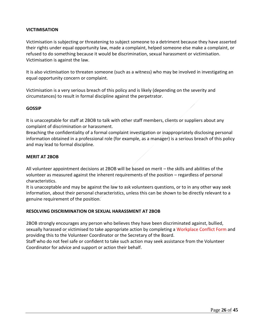#### **VICTIMISATION**

Victimisation is subjecting or threatening to subject someone to a detriment because they have asserted their rights under equal opportunity law, made a complaint, helped someone else make a complaint, or refused to do something because it would be discrimination, sexual harassment or victimisation. Victimisation is against the law.

It is also victimisation to threaten someone (such as a witness) who may be involved in investigating an equal opportunity concern or complaint.

Victimisation is a very serious breach of this policy and is likely (depending on the severity and circumstances) to result in formal discipline against the perpetrator.

#### **GOSSIP**

It is unacceptable for staff at 2BOB to talk with other staff members, clients or suppliers about any complaint of discrimination or harassment.

Breaching the confidentiality of a formal complaint investigation or inappropriately disclosing personal information obtained in a professional role (for example, as a manager) is a serious breach of this policy and may lead to formal discipline.

#### **MERIT AT 2BOB**

All volunteer appointment decisions at 2BOB will be based on merit – the skills and abilities of the volunteer as measured against the inherent requirements of the position – regardless of personal characteristics.

It is unacceptable and may be against the law to ask volunteers questions, or to in any other way seek information, about their personal characteristics, unless this can be shown to be directly relevant to a genuine requirement of the position.

#### **RESOLVING DISCRIMINATION OR SEXUAL HARASSMENT AT 2BOB**

2BOB strongly encourages any person who believes they have been discriminated against, bullied, sexually harassed or victimised to take appropriate action by completing a Workplace Conflict Form and providing this to the Volunteer Coordinator or the Secretary of the Board.

Staff who do not feel safe or confident to take such action may seek assistance from the Volunteer Coordinator for advice and support or action their behalf.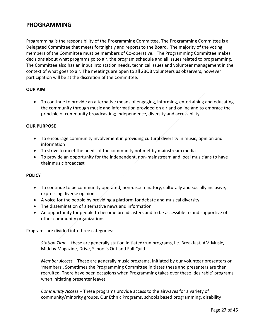## <span id="page-26-0"></span>**PROGRAMMING**

Programming is the responsibility of the Programming Committee. The Programming Committee is a Delegated Committee that meets fortnightly and reports to the Board. The majority of the voting members of the Committee must be members of Co-operative. The Programming Committee makes decisions about what programs go to air, the program schedule and all issues related to programming. The Committee also has an input into station needs, technical issues and volunteer management in the context of what goes to air. The meetings are open to all 2BOB volunteers as observers, however participation will be at the discretion of the Committee.

#### **OUR AIM**

• To continue to provide an alternative means of engaging, informing, entertaining and educating the community through music and information provided on air and online and to embrace the principle of community broadcasting; independence, diversity and accessibility.

#### **OUR PURPOSE**

- To encourage community involvement in providing cultural diversity in music, opinion and information
- To strive to meet the needs of the community not met by mainstream media
- To provide an opportunity for the independent, non-mainstream and local musicians to have their music broadcast

#### **POLICY**

- To continue to be community operated, non-discriminatory, culturally and socially inclusive, expressing diverse opinions
- A voice for the people by providing a platform for debate and musical diversity
- The dissemination of alternative news and information
- An opportunity for people to become broadcasters and to be accessible to and supportive of other community organizations

Programs are divided into three categories:

*Station Time* **–** these are generally station initiated/run programs, i.e. Breakfast, AM Music, Midday Magazine, Drive, School's Out and Full Quid

*Member Access* – These are generally music programs, initiated by our volunteer presenters or 'members'. Sometimes the Programming Committee initiates these and presenters are then recruited. There have been occasions when Programming takes over these 'desirable' programs when initiating presenter leaves

*Community Access* – These programs provide access to the airwaves for a variety of community/minority groups. Our Ethnic Programs, schools based programming, disability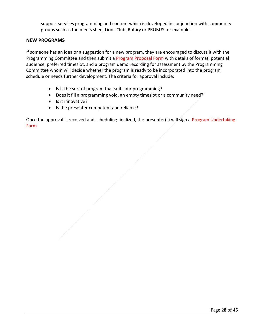support services programming and content which is developed in conjunction with community groups such as the men's shed, Lions Club, Rotary or PROBUS for example.

#### <span id="page-27-0"></span>**NEW PROGRAMS**

If someone has an idea or a suggestion for a new program, they are encouraged to discuss it with the Programming Committee and then submit a Program Proposal Form with details of format, potential audience, preferred timeslot, and a program demo recording for assessment by the Programming Committee whom will decide whether the program is ready to be incorporated into the program schedule or needs further development. The criteria for approval include;

- Is it the sort of program that suits our programming?
- Does it fill a programming void, an empty timeslot or a community need?
- Is it innovative?
- Is the presenter competent and reliable?

Once the approval is received and scheduling finalized, the presenter(s) will sign a Program Undertaking Form.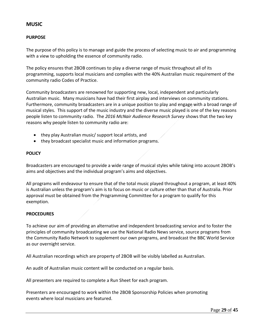### <span id="page-28-0"></span>**MUSIC**

#### **PURPOSE**

The purpose of this policy is to manage and guide the process of selecting music to air and programming with a view to upholding the essence of community radio.

The policy ensures that 2BOB continues to play a diverse range of music throughout all of its programming, supports local musicians and complies with the 40% Australian music requirement of the community radio Codes of Practice.

Community broadcasters are renowned for supporting new, local, independent and particularly Australian music. Many musicians have had their first airplay and interviews on community stations. Furthermore, community broadcasters are in a unique position to play and engage with a broad range of musical styles. This support of the music industry and the diverse music played is one of the key reasons people listen to community radio. The *2016 McNair Audience Research Survey* shows that the two key reasons why people listen to community radio are:

- they play Australian music/ support local artists, and
- they broadcast specialist music and information programs.

#### **POLICY**

Broadcasters are encouraged to provide a wide range of musical styles while taking into account 2BOB's aims and objectives and the individual program's aims and objectives.

All programs will endeavour to ensure that of the total music played throughout a program, at least 40% is Australian unless the program's aim is to focus on music or culture other than that of Australia. Prior approval must be obtained from the Programming Committee for a program to qualify for this exemption.

#### **PROCEDURES**

To achieve our aim of providing an alternative and independent broadcasting service and to foster the principles of community broadcasting we use the National Radio News service, source programs from the Community Radio Network to supplement our own programs, and broadcast the BBC World Service as our overnight service.

All Australian recordings which are property of 2BOB will be visibly labelled as Australian.

An audit of Australian music content will be conducted on a regular basis.

All presenters are required to complete a Run Sheet for each program.

Presenters are encouraged to work within the 2BOB Sponsorship Policies when promoting events where local musicians are featured.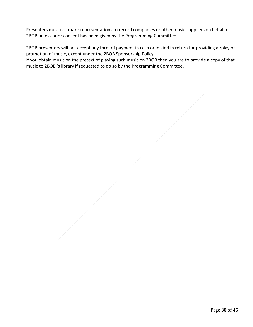Presenters must not make representations to record companies or other music suppliers on behalf of 2BOB unless prior consent has been given by the Programming Committee.

2BOB presenters will not accept any form of payment in cash or in kind in return for providing airplay or promotion of music, except under the 2BOB Sponsorship Policy.

If you obtain music on the pretext of playing such music on 2BOB then you are to provide a copy of that music to 2BOB 's library if requested to do so by the Programming Committee.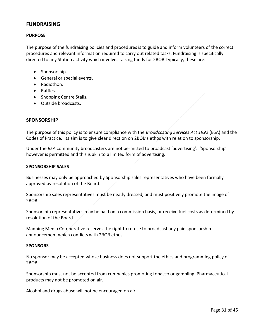#### <span id="page-30-0"></span>**FUNDRAISING**

#### **PURPOSE**

The purpose of the fundraising policies and procedures is to guide and inform volunteers of the correct procedures and relevant information required to carry out related tasks. Fundraising is specifically directed to any Station activity which involves raising funds for 2BOB.Typically, these are:

- Sponsorship.
- General or special events.
- Radiothon.
- Raffles.
- Shopping Centre Stalls.
- Outside broadcasts.

#### <span id="page-30-1"></span>**SPONSORSHIP**

The purpose of this policy is to ensure compliance with the *Broadcasting Services Act 1992* (BSA) and the Codes of Practice. Its aim is to give clear direction on 2BOB's ethos with relation to sponsorship.

Under the *BSA* community broadcasters are not permitted to broadcast 'advertising'. 'Sponsorship' however is permitted and this is akin to a limited form of advertising.

#### **SPONSORSHIP SALES**

Businesses may only be approached by Sponsorship sales representatives who have been formally approved by resolution of the Board.

Sponsorship sales representatives must be neatly dressed, and must positively promote the image of 2BOB.

Sponsorship representatives may be paid on a commission basis, or receive fuel costs as determined by resolution of the Board.

Manning Media Co-operative reserves the right to refuse to broadcast any paid sponsorship announcement which conflicts with 2BOB ethos.

#### **SPONSORS**

No sponsor may be accepted whose business does not support the ethics and programming policy of 2BOB.

Sponsorship must not be accepted from companies promoting tobacco or gambling. Pharmaceutical products may not be promoted on air.

Alcohol and drugs abuse will not be encouraged on air.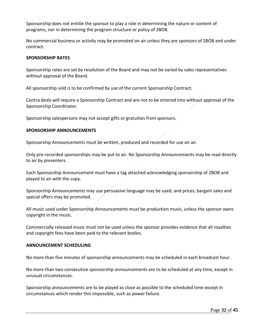Sponsorship does not entitle the sponsor to play a role in determining the nature or content of programs, nor in determining the program structure or policy of 2BOB.

No commercial business or activity may be promoted on air unless they are sponsors of 2BOB and under contract.

#### **SPONSORSHIP RATES**

Sponsorship rates are set by resolution of the Board and may not be varied by sales representatives without approval of the Board.

All sponsorship sold is to be confirmed by use of the current Sponsorship Contract.

Contra deals will require a Sponsorship Contract and are not to be entered into without approval of the Sponsorship Coordinator.

Sponsorship salespersons may not accept gifts or gratuities from sponsors.

#### **SPONSORSHIP ANNOUNCEMENTS**

Sponsorship Announcements must be written, produced and recorded for use on air.

Only pre-recorded sponsorships may be put to air. No Sponsorship Announcements may be read directly to air by presenters.

Each Sponsorship Announcement must have a tag attached acknowledging sponsorship of 2BOB and played to air with the copy.

Sponsorship Announcements may use persuasive language may be used, and prices, bargain sales and special offers may be promoted.

All music used under Sponsorship Announcements must be production music, unless the sponsor owns copyright in the music.

Commercially released music must not be used unless the sponsor provides evidence that all royalties and copyright fees have been paid to the relevant bodies.

#### **ANNOUNCEMENT SCHEDULING**

No more than five minutes of sponsorship announcements may be scheduled in each broadcast hour.

No more than two consecutive sponsorship announcements are to be scheduled at any time, except in unusual circumstances.

Sponsorship announcements are to be played as close as possible to the scheduled time except in circumstances which render this impossible, such as power failure.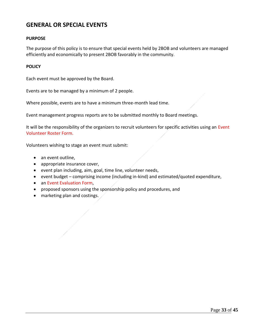## <span id="page-32-0"></span>**GENERAL OR SPECIAL EVENTS**

#### **PURPOSE**

The purpose of this policy is to ensure that special events held by 2BOB and volunteers are managed efficiently and economically to present 2BOB favorably in the community.

#### **POLICY**

Each event must be approved by the Board.

Events are to be managed by a minimum of 2 people.

Where possible, events are to have a minimum three-month lead time.

Event management progress reports are to be submitted monthly to Board meetings.

It will be the responsibility of the organizers to recruit volunteers for specific activities using an Event Volunteer Roster Form.

Volunteers wishing to stage an event must submit:

- an event outline,
- appropriate insurance cover,
- event plan including, aim, goal, time line, volunteer needs,
- event budget comprising income (including in-kind) and estimated/quoted expenditure,
- an Event Evaluation Form,
- proposed sponsors using the sponsorship policy and procedures, and
- marketing plan and costings.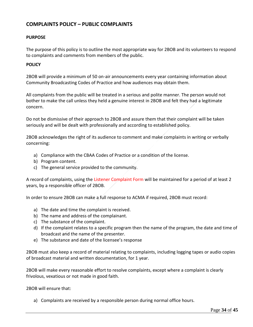### <span id="page-33-0"></span>**COMPLAINTS POLICY – PUBLIC COMPLAINTS**

#### **PURPOSE**

The purpose of this policy is to outline the most appropriate way for 2BOB and its volunteers to respond to complaints and comments from members of the public.

#### **POLICY**

2BOB will provide a minimum of 50 on-air announcements every year containing information about Community Broadcasting Codes of Practice and how audiences may obtain them.

All complaints from the public will be treated in a serious and polite manner. The person would not bother to make the call unless they held a genuine interest in 2BOB and felt they had a legitimate concern.

Do not be dismissive of their approach to 2BOB and assure them that their complaint will be taken seriously and will be dealt with professionally and according to established policy.

2BOB acknowledges the right of its audience to comment and make complaints in writing or verbally concerning:

- a) Compliance with the CBAA Codes of Practice or a condition of the license.
- b) Program content.
- c) The general service provided to the community.

A record of complaints, using the Listener Complaint Form will be maintained for a period of at least 2 years, by a responsible officer of 2BOB.

In order to ensure 2BOB can make a full response to ACMA if required, 2BOB must record:

- a) The date and time the complaint is received.
- b) The name and address of the complainant.
- c) The substance of the complaint.
- d) If the complaint relates to a specific program then the name of the program, the date and time of broadcast and the name of the presenter.
- e) The substance and date of the licensee's response

2BOB must also keep a record of material relating to complaints, including logging tapes or audio copies of broadcast material and written documentation, for 1 year.

2BOB will make every reasonable effort to resolve complaints, except where a complaint is clearly frivolous, vexatious or not made in good faith.

2BOB will ensure that:

a) Complaints are received by a responsible person during normal office hours.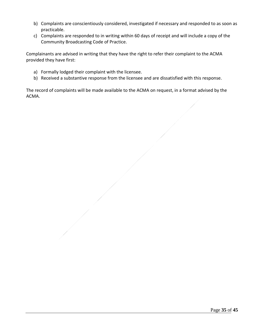- b) Complaints are conscientiously considered, investigated if necessary and responded to as soon as practicable.
- c) Complaints are responded to in writing within 60 days of receipt and will include a copy of the Community Broadcasting Code of Practice.

Complainants are advised in writing that they have the right to refer their complaint to the ACMA provided they have first:

- a) Formally lodged their complaint with the licensee.
- b) Received a substantive response from the licensee and are dissatisfied with this response.

The record of complaints will be made available to the ACMA on request, in a format advised by the ACMA.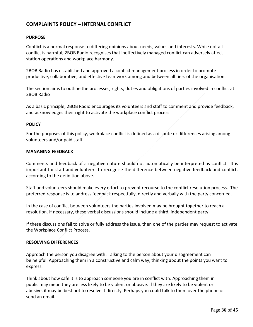#### <span id="page-35-0"></span>**COMPLAINTS POLICY – INTERNAL CONFLICT**

#### **PURPOSE**

Conflict is a normal response to differing opinions about needs, values and interests. While not all conflict is harmful, 2BOB Radio recognises that ineffectively managed conflict can adversely affect station operations and workplace harmony.

2BOB Radio has established and approved a conflict management process in order to promote productive, collaborative, and effective teamwork among and between all tiers of the organisation.

The section aims to outline the processes, rights, duties and obligations of parties involved in conflict at 2BOB Radio

As a basic principle, 2BOB Radio encourages its volunteers and staff to comment and provide feedback, and acknowledges their right to activate the workplace conflict process.

#### **POLICY**

For the purposes of this policy, workplace conflict is defined as a dispute or differences arising among volunteers and/or paid staff.

#### **MANAGING FEEDBACK**

Comments and feedback of a negative nature should not automatically be interpreted as conflict. It is important for staff and volunteers to recognise the difference between negative feedback and conflict, according to the definition above.

Staff and volunteers should make every effort to prevent recourse to the conflict resolution process. The preferred response is to address feedback respectfully, directly and verbally with the party concerned.

In the case of conflict between volunteers the parties involved may be brought together to reach a resolution. If necessary, these verbal discussions should include a third, independent party.

If these discussions fail to solve or fully address the issue, then one of the parties may request to activate the Workplace Conflict Process.

#### **RESOLVING DIFFERENCES**

Approach the person you disagree with: Talking to the person about your disagreement can be helpful. Approaching them in a constructive and calm way, thinking about the points you want to express.

Think about how safe it is to approach someone you are in conflict with: Approaching them in public may mean they are less likely to be violent or abusive. If they are likely to be violent or abusive, it may be best not to resolve it directly. Perhaps you could talk to them over the phone or send an email.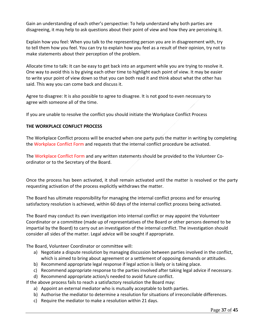Gain an understanding of each other's perspective: To help understand why both parties are disagreeing, it may help to ask questions about their point of view and how they are perceiving it.

Explain how you feel: When you talk to the representing person you are in disagreement with, try to tell them how you feel. You can try to explain how you feel as a result of their opinion, try not to make statements about their perception of the problem.

Allocate time to talk: It can be easy to get back into an argument while you are trying to resolve it. One way to avoid this is by giving each other time to highlight each point of view. It may be easier to write your point of view down so that you can both read it and think about what the other has said. This way you can come back and discuss it.

Agree to disagree: It is also possible to agree to disagree. It is not good to even necessary to agree with someone all of the time.

If you are unable to resolve the conflict you should initiate the Workplace Conflict Process

#### **THE WORKPLACE CONFLICT PROCESS**

The Workplace Conflict process will be enacted when one party puts the matter in writing by completing the Workplace Conflict Form and requests that the internal conflict procedure be activated.

The Workplace Conflict Form and any written statements should be provided to the Volunteer Coordinator or to the Secretary of the Board.

Once the process has been activated, it shall remain activated until the matter is resolved or the party requesting activation of the process explicitly withdraws the matter.

The Board has ultimate responsibility for managing the internal conflict process and for ensuring satisfactory resolution is achieved, within 60 days of the internal conflict process being activated.

The Board may conduct its own investigation into internal conflict or may appoint the Volunteer Coordinator or a committee (made up of representatives of the Board or other persons deemed to be impartial by the Board) to carry out an investigation of the internal conflict. The investigation should consider all sides of the matter. Legal advice will be sought if appropriate.

The Board, Volunteer Coordinator or committee will:

- a) Negotiate a dispute resolution by managing discussion between parties involved in the conflict, which is aimed to bring about agreement or a settlement of opposing demands or attitudes.
- b) Recommend appropriate legal response if legal action is likely or is taking place.
- c) Recommend appropriate response to the parties involved after taking legal advice if necessary.
- d) Recommend appropriate action/s needed to avoid future conflict.

If the above process fails to reach a satisfactory resolution the Board may:

- a) Appoint an external mediator who is mutually acceptable to both parties.
- b) Authorise the mediator to determine a resolution for situations of irreconcilable differences.
- c) Require the mediator to make a resolution within 21 days.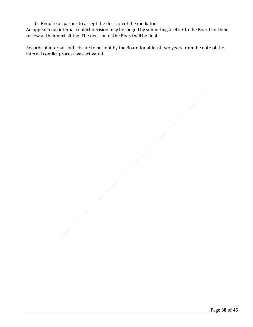d) Require all parties to accept the decision of the mediator.

An appeal to an internal conflict decision may be lodged by submitting a letter to the Board for their review at their next sitting. The decision of the Board will be final.

Records of internal conflicts are to be kept by the Board for at least two years from the date of the internal conflict process was activated.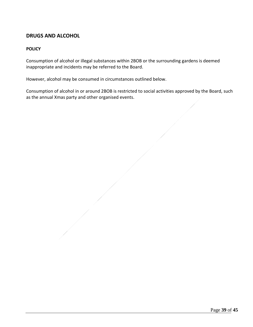## <span id="page-38-0"></span>**DRUGS AND ALCOHOL**

#### **POLICY**

Consumption of alcohol or illegal substances within 2BOB or the surrounding gardens is deemed inappropriate and incidents may be referred to the Board.

However, alcohol may be consumed in circumstances outlined below.

Consumption of alcohol in or around 2BOB is restricted to social activities approved by the Board, such as the annual Xmas party and other organised events.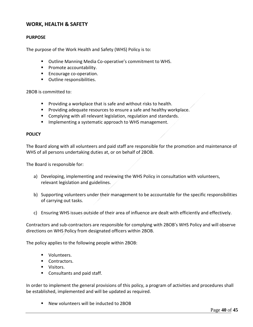#### <span id="page-39-0"></span>**WORK, HEALTH & SAFETY**

#### **PURPOSE**

The purpose of the Work Health and Safety (WHS) Policy is to:

- Outline Manning Media Co-operative's commitment to WHS.
- Promote accountability.
- Encourage co-operation.
- Outline responsibilities.

2BOB is committed to:

- Providing a workplace that is safe and without risks to health.
- Providing adequate resources to ensure a safe and healthy workplace.
- Complying with all relevant legislation, regulation and standards.
- Implementing a systematic approach to WHS management.

#### **POLICY**

The Board along with all volunteers and paid staff are responsible for the promotion and maintenance of WHS of all persons undertaking duties at, or on behalf of 2BOB.

The Board is responsible for:

- a) Developing, implementing and reviewing the WHS Policy in consultation with volunteers, relevant legislation and guidelines.
- b) Supporting volunteers under their management to be accountable for the specific responsibilities of carrying out tasks.
- c) Ensuring WHS issues outside of their area of influence are dealt with efficiently and effectively.

Contractors and sub-contractors are responsible for complying with 2BOB's WHS Policy and will observe directions on WHS Policy from designated officers within 2BOB.

The policy applies to the following people within 2BOB:

- Volunteers.
- Contractors.
- Visitors.
- Consultants and paid staff.

In order to implement the general provisions of this policy, a program of activities and procedures shall be established, implemented and will be updated as required.

■ New volunteers will be inducted to 2BOB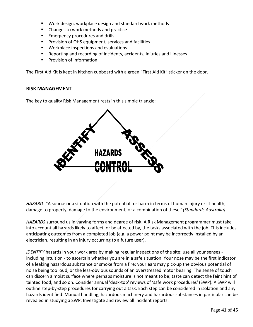- Work design, workplace design and standard work methods
- Changes to work methods and practice
- Emergency procedures and drills
- Provision of OHS equipment, services and facilities
- Workplace inspections and evaluations
- Reporting and recording of incidents, accidents, injuries and illnesses
- Provision of information

The First Aid Kit is kept in kitchen cupboard with a green "First Aid Kit" sticker on the door.

#### <span id="page-40-0"></span>**RISK MANAGEMENT**

The key to quality Risk Management rests in this simple triangle:



*HAZARD*- "A source or a situation with the potential for harm in terms of human injury or ill-health, damage to property, damage to the environment, or a combination of these."*(Standards Australia)*

*HAZARDS* surround us in varying forms and degree of risk. A Risk Management programmer must take into account all hazards likely to affect, or be affected by, the tasks associated with the job. This includes anticipating outcomes from a completed job (e.g. a power point may be incorrectly installed by an electrician, resulting in an injury occurring to a future user).

*IDENTIFY* hazards in your work area by making regular inspections of the site; use all your senses including intuition - to ascertain whether you are in a safe situation. Your nose may be the first indicator of a leaking hazardous substance or smoke from a fire; your ears may pick-up the obvious potential of noise being too loud, or the less-obvious sounds of an overstressed motor bearing. The sense of touch can discern a moist surface where perhaps moisture is not meant to be; taste can detect the feint hint of tainted food, and so on. Consider annual 'desk-top' reviews of 'safe work procedures' (SWP). A SWP will outline step-by-step procedures for carrying out a task. Each step can be considered in isolation and any hazards identified. Manual handling, hazardous machinery and hazardous substances in particular can be revealed in studying a SWP. Investigate and review all incident reports.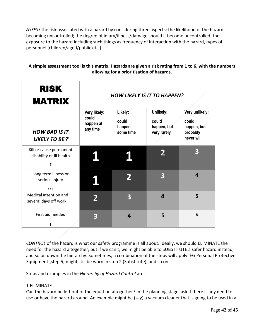*ASSESS* the risk associated with a hazard by considering three aspects: the likelihood of the hazard becoming uncontrolled; the degree of injury/illness/damage should it become uncontrolled; the exposure to the hazard including such things as frequency of interaction with the hazard, types of personnel (children/aged/public etc.).

#### **A simple assessment tool is this matrix. Hazards are given a risk rating from 1 to 6, with the numbers allowing for a prioritisation of hazards.**

| <b>RISK</b><br><b>MATRIX</b>                                            | <b>HOW LIKELY IS IT TO HAPPEN?</b>             |                                         |                                                  |                                                                  |
|-------------------------------------------------------------------------|------------------------------------------------|-----------------------------------------|--------------------------------------------------|------------------------------------------------------------------|
| <b>HOW BAD IS IT</b><br><b>LIKELY TO BE?</b>                            | Very likely:<br>could<br>happen at<br>any time | Likely:<br>could<br>happen<br>some time | Unlikely:<br>could<br>happen, but<br>very rarely | Very unlikely:<br>could<br>happen, but<br>probably<br>never will |
| Kill or cause permanent<br>disability or ill health<br>Хe               |                                                |                                         |                                                  | 3                                                                |
| Long term illness or<br>serious injury<br>$\bullet$ $\bullet$ $\bullet$ |                                                |                                         | 3                                                | 4                                                                |
| Medical attention and<br>several days off work                          |                                                | 3                                       | $\overline{\mathbf{4}}$                          | 5                                                                |
| First aid needed                                                        | 3                                              | $\overline{\mathbf{a}}$                 | 5                                                | 6                                                                |

*CONTROL* of the hazard is what our safety programme is all about. Ideally, we should ELIMINATE the need for the hazard altogether, but if we can't, we might be able to SUBSTITUTE a safer hazard instead, and so on down the hierarchy. Sometimes, a combination of the steps will apply. EG Personal Protective Equipment (step 5) might still be worn in step 2 (Substitute), and so on.

Steps and examples in the *Hierarchy of Hazard Control* are:

#### 1 ELIMINATE

Can the hazard be left out of the equation altogether? In the planning stage, ask if there is any need to use or have the hazard around. An example might be (say) a vacuum cleaner that is going to be used in a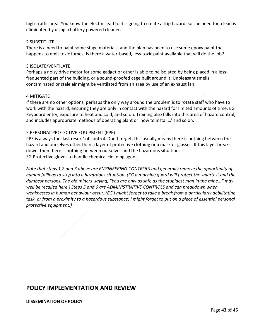high-traffic area. You know the electric lead to it is going to create a trip hazard, so the need for a lead is eliminated by using a battery powered cleaner.

#### 2 SUBSTITUTE

There is a need to paint some stage materials, and the plan has been to use some epoxy paint that happens to emit toxic fumes. Is there a water-based, less-toxic paint available that will do the job?

#### 3 ISOLATE/VENTILATE

Perhaps a noisy drive motor for some gadget or other is able to be isolated by being placed in a lessfrequented part of the building, or a sound-proofed cage built around it. Unpleasant smells, contaminated or stale air might be ventilated from an area by use of an exhaust fan.

#### 4 MITIGATE

If there are no other options, perhaps the only way around the problem is to rotate staff who have to work with the hazard, ensuring they are only in contact with the hazard for limited amounts of time. EG Keyboard entry; exposure to heat and cold, and so on. Training also falls into this area of hazard control, and includes appropriate methods of operating plant or 'how to install…' and so on.

#### 5 PERSONAL PROTECTIVE EQUIPMENT (PPE)

PPE is always the 'last resort' of control. Don't forget, this usually means there is nothing between the hazard and ourselves other than a layer of protective clothing or a mask or glasses. If this layer breaks down, then there is nothing between ourselves and the hazardous situation. EG Protective gloves to handle chemical cleaning agent.

*Note that steps 1,2 and 3 above are ENGINEERING CONTROLS and generally remove the opportunity of human failings to step into a hazardous situation. (EG a machine guard will protect the smartest and the dumbest persons. The old miners' saying, "You are only as safe as the stupidest man in the mine..." may well be recalled here.) Steps 5 and 6 are ADMINISTRATIVE CONTROLS and can breakdown when weaknesses in human behaviour occur. (EG I might forget to take a break from a particularly debilitating task, or from a proximity to a hazardous substance; I might forget to put on a piece of essential personal protective equipment.)*

## <span id="page-42-0"></span>**POLICY IMPLEMENTATION AND REVIEW**

#### **DISSEMINATION OF POLICY**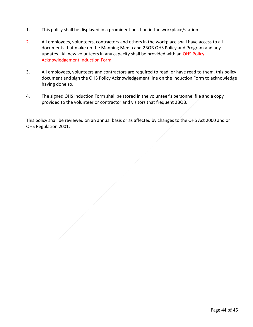- 1. This policy shall be displayed in a prominent position in the workplace/station.
- 2. All employees, volunteers, contractors and others in the workplace shall have access to all documents that make up the Manning Media and 2BOB OHS Policy and Program and any updates. All new volunteers in any capacity shall be provided with an OHS Policy Acknowledgement Induction Form.
- 3. All employees, volunteers and contractors are required to read, or have read to them, this policy document and sign the OHS Policy Acknowledgement line on the Induction Form to acknowledge having done so.
- 4. The signed OHS Induction Form shall be stored in the volunteer's personnel file and a copy provided to the volunteer or contractor and visitors that frequent 2BOB.

This policy shall be reviewed on an annual basis or as affected by changes to the OHS Act 2000 and or OHS Regulation 2001.